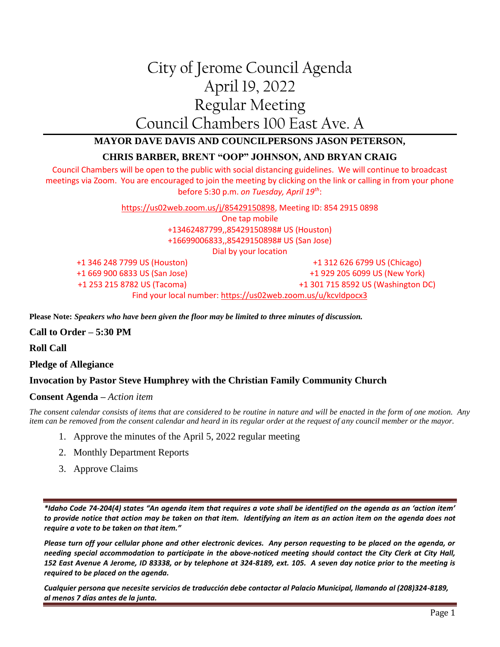# City of Jerome Council Agenda April 19, 2022 Regular Meeting Council Chambers 100 East Ave. A

## **MAYOR DAVE DAVIS AND COUNCILPERSONS JASON PETERSON,**

### **CHRIS BARBER, BRENT "OOP" JOHNSON, AND BRYAN CRAIG**

Council Chambers will be open to the public with social distancing guidelines. We will continue to broadcast meetings via Zoom. You are encouraged to join the meeting by clicking on the link or calling in from your phone before 5:30 p.m. *on Tuesday, April 19th*:

> [https://us02web.zoom.us/j/85429150898,](https://us02web.zoom.us/j/85429150898) Meeting ID: 854 2915 0898 One tap mobile +13462487799,,85429150898# US (Houston) +16699006833,,85429150898# US (San Jose) Dial by your location

+1 346 248 7799 US (Houston) +1 669 900 6833 US (San Jose) +1 253 215 8782 US (Tacoma) +1 312 626 6799 US (Chicago) +1 929 205 6099 US (New York) +1 301 715 8592 US (Washington DC) Find your local number[: https://us02web.zoom.us/u/kcvIdpocx3](https://us02web.zoom.us/u/kcvIdpocx3)

**Please Note:** *Speakers who have been given the floor may be limited to three minutes of discussion.*

#### **Call to Order – 5:30 PM**

**Roll Call**

**Pledge of Allegiance**

#### **Invocation by Pastor Steve Humphrey with the Christian Family Community Church**

#### **Consent Agenda –** *Action item*

*The consent calendar consists of items that are considered to be routine in nature and will be enacted in the form of one motion. Any item can be removed from the consent calendar and heard in its regular order at the request of any council member or the mayor.*

- 1. Approve the minutes of the April 5, 2022 regular meeting
- 2. Monthly Department Reports
- 3. Approve Claims

*\*Idaho Code 74-204(4) states "An agenda item that requires a vote shall be identified on the agenda as an 'action item' to provide notice that action may be taken on that item. Identifying an item as an action item on the agenda does not require a vote to be taken on that item."*

*Please turn off your cellular phone and other electronic devices. Any person requesting to be placed on the agenda, or needing special accommodation to participate in the above-noticed meeting should contact the City Clerk at City Hall, 152 East Avenue A Jerome, ID 83338, or by telephone at 324-8189, ext. 105. A seven day notice prior to the meeting is required to be placed on the agenda.* 

*Cualquier persona que necesite servicios de traducción debe contactar al Palacio Municipal, llamando al (208)324-8189, al menos 7 días antes de la junta.*